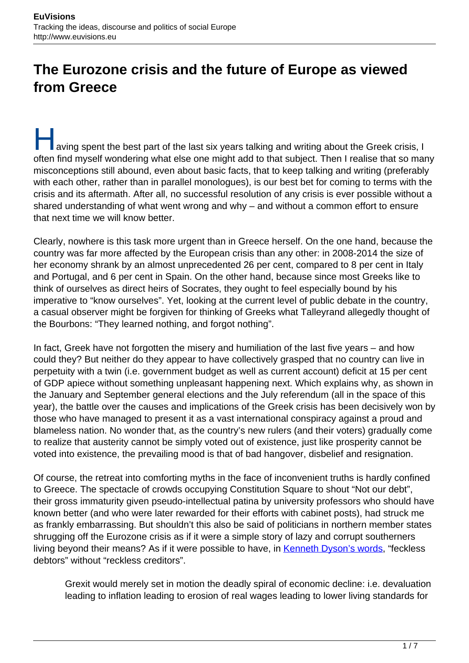# **The Eurozone crisis and the future of Europe as viewed from Greece**

aving spent the best part of the last six years talking and writing about the Greek crisis, I often find myself wondering what else one might add to that subject. Then I realise that so many misconceptions still abound, even about basic facts, that to keep talking and writing (preferably with each other, rather than in parallel monologues), is our best bet for coming to terms with the crisis and its aftermath. After all, no successful resolution of any crisis is ever possible without a shared understanding of what went wrong and why – and without a common effort to ensure that next time we will know better.

Clearly, nowhere is this task more urgent than in Greece herself. On the one hand, because the country was far more affected by the European crisis than any other: in 2008-2014 the size of her economy shrank by an almost unprecedented 26 per cent, compared to 8 per cent in Italy and Portugal, and 6 per cent in Spain. On the other hand, because since most Greeks like to think of ourselves as direct heirs of Socrates, they ought to feel especially bound by his imperative to "know ourselves". Yet, looking at the current level of public debate in the country, a casual observer might be forgiven for thinking of Greeks what Talleyrand allegedly thought of the Bourbons: "They learned nothing, and forgot nothing".

In fact, Greek have not forgotten the misery and humiliation of the last five years – and how could they? But neither do they appear to have collectively grasped that no country can live in perpetuity with a twin (i.e. government budget as well as current account) deficit at 15 per cent of GDP apiece without something unpleasant happening next. Which explains why, as shown in the January and September general elections and the July referendum (all in the space of this year), the battle over the causes and implications of the Greek crisis has been decisively won by those who have managed to present it as a vast international conspiracy against a proud and blameless nation. No wonder that, as the country's new rulers (and their voters) gradually come to realize that austerity cannot be simply voted out of existence, just like prosperity cannot be voted into existence, the prevailing mood is that of bad hangover, disbelief and resignation.

Of course, the retreat into comforting myths in the face of inconvenient truths is hardly confined to Greece. The spectacle of crowds occupying Constitution Square to shout "Not our debt", their gross immaturity given pseudo-intellectual patina by university professors who should have known better (and who were later rewarded for their efforts with cabinet posts), had struck me as frankly embarrassing. But shouldn't this also be said of politicians in northern member states shrugging off the Eurozone crisis as if it were a simple story of lazy and corrupt southerners living beyond their means? As if it were possible to have, in [Kenneth Dyson's words](https://global.oup.com/academic/product/states-debt-and-power-9780198714071?cc=it&lang=en&), "feckless debtors" without "reckless creditors".

Grexit would merely set in motion the deadly spiral of economic decline: i.e. devaluation leading to inflation leading to erosion of real wages leading to lower living standards for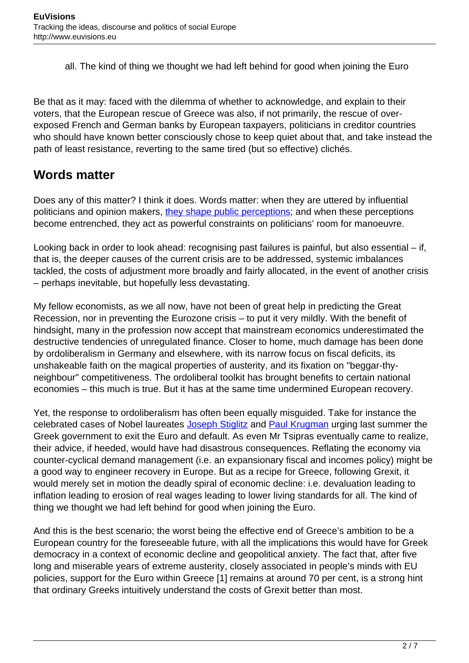all. The kind of thing we thought we had left behind for good when joining the Euro

Be that as it may: faced with the dilemma of whether to acknowledge, and explain to their voters, that the European rescue of Greece was also, if not primarily, the rescue of overexposed French and German banks by European taxpayers, politicians in creditor countries who should have known better consciously chose to keep quiet about that, and take instead the path of least resistance, reverting to the same tired (but so effective) clichés.

### **Words matter**

Does any of this matter? I think it does. Words matter: when they are uttered by influential politicians and opinion makers, [they shape public perceptions;](https://www.uclouvain.be/cps/ucl/doc/etes/documents/2015.Justifying_Europe_final.pdf) and when these perceptions become entrenched, they act as powerful constraints on politicians' room for manoeuvre.

Looking back in order to look ahead: recognising past failures is painful, but also essential – if, that is, the deeper causes of the current crisis are to be addressed, systemic imbalances tackled, the costs of adjustment more broadly and fairly allocated, in the event of another crisis – perhaps inevitable, but hopefully less devastating.

My fellow economists, as we all now, have not been of great help in predicting the Great Recession, nor in preventing the Eurozone crisis – to put it very mildly. With the benefit of hindsight, many in the profession now accept that mainstream economics underestimated the destructive tendencies of unregulated finance. Closer to home, much damage has been done by ordoliberalism in Germany and elsewhere, with its narrow focus on fiscal deficits, its unshakeable faith on the magical properties of austerity, and its fixation on "beggar-thyneighbour" competitiveness. The ordoliberal toolkit has brought benefits to certain national economies – this much is true. But it has at the same time undermined European recovery.

Yet, the response to ordoliberalism has often been equally misguided. Take for instance the celebrated cases of Nobel laureates [Joseph Stiglitz](http://www.theguardian.com/business/2015/jun/29/joseph-stiglitz-how-i-would-vote-in-the-greek-referendum) and [Paul Krugman](http://www.nytimes.com/2015/06/29/opinion/paul-krugman-greece-over-the-brink.html?_r=0) urging last summer the Greek government to exit the Euro and default. As even Mr Tsipras eventually came to realize, their advice, if heeded, would have had disastrous consequences. Reflating the economy via counter-cyclical demand management (i.e. an expansionary fiscal and incomes policy) might be a good way to engineer recovery in Europe. But as a recipe for Greece, following Grexit, it would merely set in motion the deadly spiral of economic decline: i.e. devaluation leading to inflation leading to erosion of real wages leading to lower living standards for all. The kind of thing we thought we had left behind for good when joining the Euro.

And this is the best scenario; the worst being the effective end of Greece's ambition to be a European country for the foreseeable future, with all the implications this would have for Greek democracy in a context of economic decline and geopolitical anxiety. The fact that, after five long and miserable years of extreme austerity, closely associated in people's minds with EU policies, support for the Euro within Greece [1] remains at around 70 per cent, is a strong hint that ordinary Greeks intuitively understand the costs of Grexit better than most.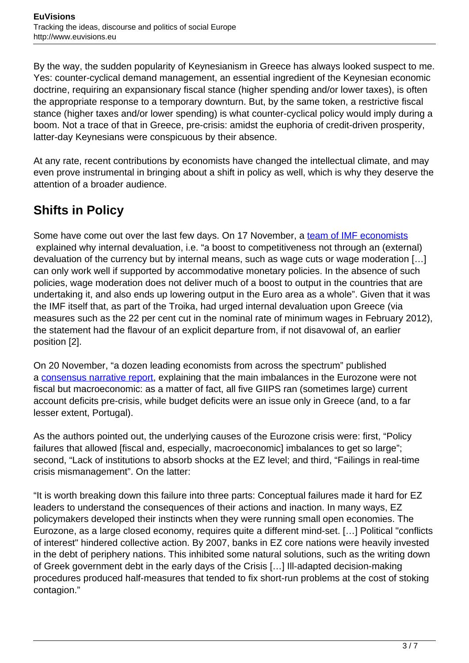By the way, the sudden popularity of Keynesianism in Greece has always looked suspect to me. Yes: counter-cyclical demand management, an essential ingredient of the Keynesian economic doctrine, requiring an expansionary fiscal stance (higher spending and/or lower taxes), is often the appropriate response to a temporary downturn. But, by the same token, a restrictive fiscal stance (higher taxes and/or lower spending) is what counter-cyclical policy would imply during a boom. Not a trace of that in Greece, pre-crisis: amidst the euphoria of credit-driven prosperity, latter-day Keynesians were conspicuous by their absence.

At any rate, recent contributions by economists have changed the intellectual climate, and may even prove instrumental in bringing about a shift in policy as well, which is why they deserve the attention of a broader audience.

# **Shifts in Policy**

Some have come out over the last few days. On 17 November, a [team of IMF economists](https://www.imf.org/external/pubs/ft/sdn/2015/sdn1522.pdf) explained why internal devaluation, i.e. "a boost to competitiveness not through an (external) devaluation of the currency but by internal means, such as wage cuts or wage moderation […] can only work well if supported by accommodative monetary policies. In the absence of such policies, wage moderation does not deliver much of a boost to output in the countries that are undertaking it, and also ends up lowering output in the Euro area as a whole". Given that it was the IMF itself that, as part of the Troika, had urged internal devaluation upon Greece (via measures such as the 22 per cent cut in the nominal rate of minimum wages in February 2012), the statement had the flavour of an explicit departure from, if not disavowal of, an earlier position [2].

On 20 November, "a dozen leading economists from across the spectrum" published a [consensus narrative report,](http://www.voxeu.org/article/ez-crisis-consensus-narrative) explaining that the main imbalances in the Eurozone were not fiscal but macroeconomic: as a matter of fact, all five GIIPS ran (sometimes large) current account deficits pre-crisis, while budget deficits were an issue only in Greece (and, to a far lesser extent, Portugal).

As the authors pointed out, the underlying causes of the Eurozone crisis were: first, "Policy failures that allowed [fiscal and, especially, macroeconomic] imbalances to get so large"; second, "Lack of institutions to absorb shocks at the EZ level; and third, "Failings in real-time crisis mismanagement". On the latter:

"It is worth breaking down this failure into three parts: Conceptual failures made it hard for EZ leaders to understand the consequences of their actions and inaction. In many ways, EZ policymakers developed their instincts when they were running small open economies. The Eurozone, as a large closed economy, requires quite a different mind-set. […] Political "conflicts of interest" hindered collective action. By 2007, banks in EZ core nations were heavily invested in the debt of periphery nations. This inhibited some natural solutions, such as the writing down of Greek government debt in the early days of the Crisis […] Ill-adapted decision-making procedures produced half-measures that tended to fix short-run problems at the cost of stoking contagion."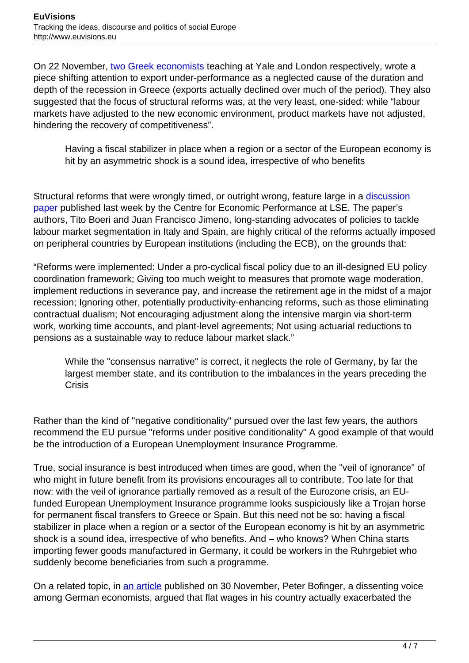On 22 November, [two Greek economists](http://www.voxeu.org/article/challenge-trade-adjustment-greece) teaching at Yale and London respectively, wrote a piece shifting attention to export under-performance as a neglected cause of the duration and depth of the recession in Greece (exports actually declined over much of the period). They also suggested that the focus of structural reforms was, at the very least, one-sided: while "labour markets have adjusted to the new economic environment, product markets have not adjusted, hindering the recovery of competitiveness".

Having a fiscal stabilizer in place when a region or a sector of the European economy is hit by an asymmetric shock is a sound idea, irrespective of who benefits

Structural reforms that were wrongly timed, or outright wrong, feature large in a [discussion](http://cep.lse.ac.uk/pubs/download/dp1384.pdf) [paper](http://cep.lse.ac.uk/pubs/download/dp1384.pdf) published last week by the Centre for Economic Performance at LSE. The paper's authors, Tito Boeri and Juan Francisco Jimeno, long-standing advocates of policies to tackle labour market segmentation in Italy and Spain, are highly critical of the reforms actually imposed on peripheral countries by European institutions (including the ECB), on the grounds that:

"Reforms were implemented: Under a pro-cyclical fiscal policy due to an ill-designed EU policy coordination framework; Giving too much weight to measures that promote wage moderation, implement reductions in severance pay, and increase the retirement age in the midst of a major recession; Ignoring other, potentially productivity-enhancing reforms, such as those eliminating contractual dualism; Not encouraging adjustment along the intensive margin via short-term work, working time accounts, and plant-level agreements; Not using actuarial reductions to pensions as a sustainable way to reduce labour market slack."

While the "consensus narrative" is correct, it neglects the role of Germany, by far the largest member state, and its contribution to the imbalances in the years preceding the Crisis

Rather than the kind of "negative conditionality" pursued over the last few years, the authors recommend the EU pursue "reforms under positive conditionality" A good example of that would be the introduction of a European Unemployment Insurance Programme.

True, social insurance is best introduced when times are good, when the "veil of ignorance" of who might in future benefit from its provisions encourages all to contribute. Too late for that now: with the veil of ignorance partially removed as a result of the Eurozone crisis, an EUfunded European Unemployment Insurance programme looks suspiciously like a Trojan horse for permanent fiscal transfers to Greece or Spain. But this need not be so: having a fiscal stabilizer in place when a region or a sector of the European economy is hit by an asymmetric shock is a sound idea, irrespective of who benefits. And – who knows? When China starts importing fewer goods manufactured in Germany, it could be workers in the Ruhrgebiet who suddenly become beneficiaries from such a programme.

On a related topic, in [an article](http://www.voxeu.org/article/german-wage-moderation-and-ez-crisis) published on 30 November, Peter Bofinger, a dissenting voice among German economists, argued that flat wages in his country actually exacerbated the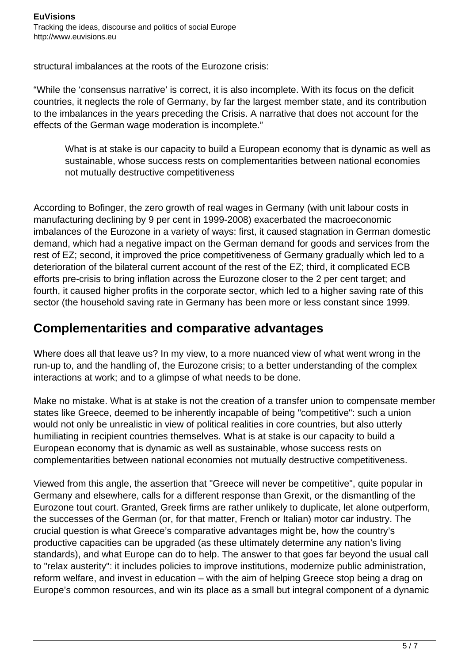structural imbalances at the roots of the Eurozone crisis:

"While the 'consensus narrative' is correct, it is also incomplete. With its focus on the deficit countries, it neglects the role of Germany, by far the largest member state, and its contribution to the imbalances in the years preceding the Crisis. A narrative that does not account for the effects of the German wage moderation is incomplete."

What is at stake is our capacity to build a European economy that is dynamic as well as sustainable, whose success rests on complementarities between national economies not mutually destructive competitiveness

According to Bofinger, the zero growth of real wages in Germany (with unit labour costs in manufacturing declining by 9 per cent in 1999-2008) exacerbated the macroeconomic imbalances of the Eurozone in a variety of ways: first, it caused stagnation in German domestic demand, which had a negative impact on the German demand for goods and services from the rest of EZ; second, it improved the price competitiveness of Germany gradually which led to a deterioration of the bilateral current account of the rest of the EZ; third, it complicated ECB efforts pre-crisis to bring inflation across the Eurozone closer to the 2 per cent target; and fourth, it caused higher profits in the corporate sector, which led to a higher saving rate of this sector (the household saving rate in Germany has been more or less constant since 1999.

#### **Complementarities and comparative advantages**

Where does all that leave us? In my view, to a more nuanced view of what went wrong in the run-up to, and the handling of, the Eurozone crisis; to a better understanding of the complex interactions at work; and to a glimpse of what needs to be done.

Make no mistake. What is at stake is not the creation of a transfer union to compensate member states like Greece, deemed to be inherently incapable of being "competitive": such a union would not only be unrealistic in view of political realities in core countries, but also utterly humiliating in recipient countries themselves. What is at stake is our capacity to build a European economy that is dynamic as well as sustainable, whose success rests on complementarities between national economies not mutually destructive competitiveness.

Viewed from this angle, the assertion that "Greece will never be competitive", quite popular in Germany and elsewhere, calls for a different response than Grexit, or the dismantling of the Eurozone tout court. Granted, Greek firms are rather unlikely to duplicate, let alone outperform, the successes of the German (or, for that matter, French or Italian) motor car industry. The crucial question is what Greece's comparative advantages might be, how the country's productive capacities can be upgraded (as these ultimately determine any nation's living standards), and what Europe can do to help. The answer to that goes far beyond the usual call to "relax austerity": it includes policies to improve institutions, modernize public administration, reform welfare, and invest in education – with the aim of helping Greece stop being a drag on Europe's common resources, and win its place as a small but integral component of a dynamic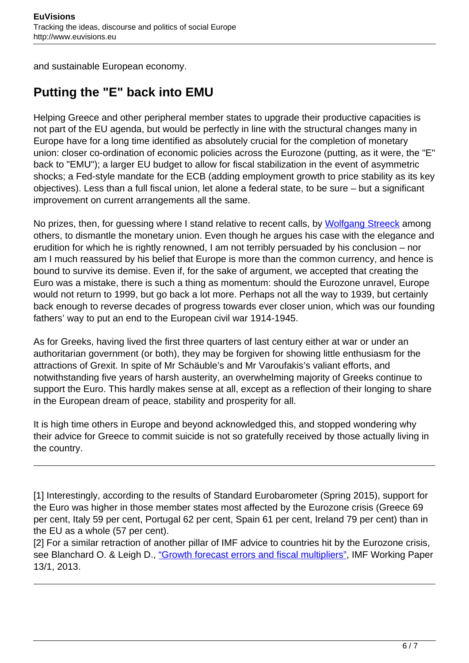and sustainable European economy.

## **Putting the "E" back into EMU**

Helping Greece and other peripheral member states to upgrade their productive capacities is not part of the EU agenda, but would be perfectly in line with the structural changes many in Europe have for a long time identified as absolutely crucial for the completion of monetary union: closer co-ordination of economic policies across the Eurozone (putting, as it were, the "E" back to "EMU"); a larger EU budget to allow for fiscal stabilization in the event of asymmetric shocks; a Fed-style mandate for the ECB (adding employment growth to price stability as its key objectives). Less than a full fiscal union, let alone a federal state, to be sure – but a significant improvement on current arrangements all the same.

No prizes, then, for guessing where I stand relative to recent calls, by [Wolfgang Streeck](https://newleftreview.org/II/95/wolfgang-streeck-why-the-euro-divides-europe) among others, to dismantle the monetary union. Even though he argues his case with the elegance and erudition for which he is rightly renowned, I am not terribly persuaded by his conclusion – nor am I much reassured by his belief that Europe is more than the common currency, and hence is bound to survive its demise. Even if, for the sake of argument, we accepted that creating the Euro was a mistake, there is such a thing as momentum: should the Eurozone unravel, Europe would not return to 1999, but go back a lot more. Perhaps not all the way to 1939, but certainly back enough to reverse decades of progress towards ever closer union, which was our founding fathers' way to put an end to the European civil war 1914-1945.

As for Greeks, having lived the first three quarters of last century either at war or under an authoritarian government (or both), they may be forgiven for showing little enthusiasm for the attractions of Grexit. In spite of Mr Schäuble's and Mr Varoufakis's valiant efforts, and notwithstanding five years of harsh austerity, an overwhelming majority of Greeks continue to support the Euro. This hardly makes sense at all, except as a reflection of their longing to share in the European dream of peace, stability and prosperity for all.

It is high time others in Europe and beyond acknowledged this, and stopped wondering why their advice for Greece to commit suicide is not so gratefully received by those actually living in the country.

[1] Interestingly, according to the results of Standard Eurobarometer (Spring 2015), support for the Euro was higher in those member states most affected by the Eurozone crisis (Greece 69 per cent, Italy 59 per cent, Portugal 62 per cent, Spain 61 per cent, Ireland 79 per cent) than in the EU as a whole (57 per cent).

[2] For a similar retraction of another pillar of IMF advice to countries hit by the Eurozone crisis, see Blanchard O. & Leigh D., ["Growth forecast errors and fiscal multipliers",](https://www.imf.org/external/pubs/cat/longres.aspx?sk=40200.0) IMF Working Paper 13/1, 2013.